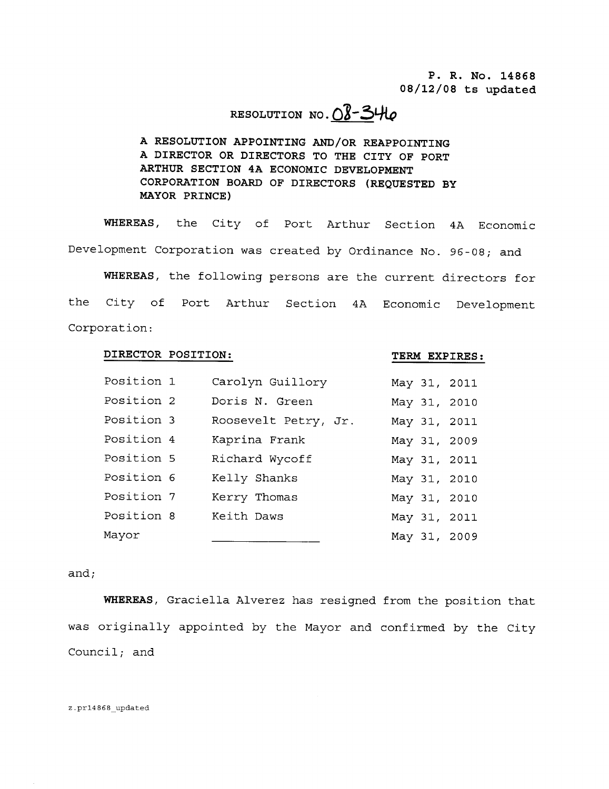P. R. No. 14868  $08/12/08$  ts updated

# RESOLUTION NO.  $O8 - 340$

A RESOLUTION APPOINTING AND/OR REAPPOINTING A DIRECTOR OR DIRECTORS TO THE CITY OF PORT ARTHUR SECTION 4A ECONOMIC DEVELOPMENT CORPORATION BOARD OF DIRECTORS (REQUESTED BY MAYOR PRINCE

WHEREAS, the City of Port Arthur Section 4A Economic Development Corporation was created by Ordinance No. 96-08; and

WHEREAS, the following persons are the current directors for the City of Port Arthur Section 4A Economic Development Corporation P. R. No. 14868<br>
08/12/08 ts updated<br>
RESOLUTION APPOINTING AND/OR REAPPOINTING<br>
A RESOLUTION APPOINTING AND/OR REAPPOINTING<br>
A DIRECTOR OR DIRECTORS TO THE CITY OF PORT<br>
CORPORATION BOARD OF DIRECTORS (REQUESTED BY<br>
MAYO

## DIRECTOR POSITION: TERM EXPIRES:

| Position 1 | Carolyn Guillory     |  | May 31, 2011 |
|------------|----------------------|--|--------------|
| Position 2 | Doris N. Green       |  | May 31, 2010 |
| Position 3 | Roosevelt Petry, Jr. |  | May 31, 2011 |
| Position 4 | Kaprina Frank        |  | May 31, 2009 |
| Position 5 | Richard Wycoff       |  | May 31, 2011 |
| Position 6 | Kelly Shanks         |  | May 31, 2010 |
| Position 7 | Kerry Thomas         |  | May 31, 2010 |
| Position 8 | Keith Daws           |  | May 31, 2011 |
| Mayor      |                      |  | May 31, 2009 |

### and

WHEREAS, Graciella Alverez has resigned from the position that was originally appointed by the Mayor and confirmed by the City Council; and

#### z.pr14868\_updated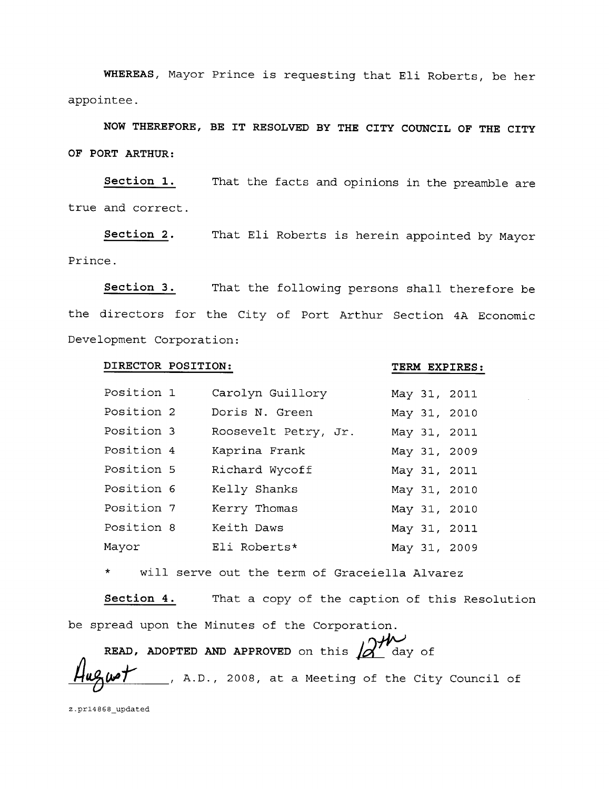WHEREAS, Mayor Prince is requesting that Eli Roberts, be her appointee

NOW THEREFORE, BE IT RESOLVED BY THE CITY COUNCIL OF THE CITY OF PORT ARTHUR

Section 1. That the facts and opinions in the preamble are true and correct

Section 2. That Eli Roberts is herein appointed by Mayor Prince

Section 3. That the following persons shall therefore be the directors for the City of Port Arthur Section 4A Economic Development Corporation

#### DIRECTOR POSITION: TERM EXPIRES:

| Position 1 | Carolyn Guillory     |  | May 31, 2011 |
|------------|----------------------|--|--------------|
| Position 2 | Doris N. Green       |  | May 31, 2010 |
| Position 3 | Roosevelt Petry, Jr. |  | May 31, 2011 |
| Position 4 | Kaprina Frank        |  | May 31, 2009 |
| Position 5 | Richard Wycoff       |  | May 31, 2011 |
| Position 6 | Kelly Shanks         |  | May 31, 2010 |
| Position 7 | Kerry Thomas         |  | May 31, 2010 |
| Position 8 | Keith Daws           |  | May 31, 2011 |
| Mayor      | Eli Roberts*         |  | May 31, 2009 |

will serve out the term of Graceiella Alvarez  $\star$ 

Section 4. That a copy of the caption of this Resolution be spread upon the Minutes of the Corporation

READ, ADOPTED AND APPROVED on this  $\Delta''$  day of READ, ADOPTED AND APPROVED on this  $A$ <sup>th</sup> day of  $A$ ugust. A.D., 2008, at a Meeting of the City Council of

z.pr14868\_updated